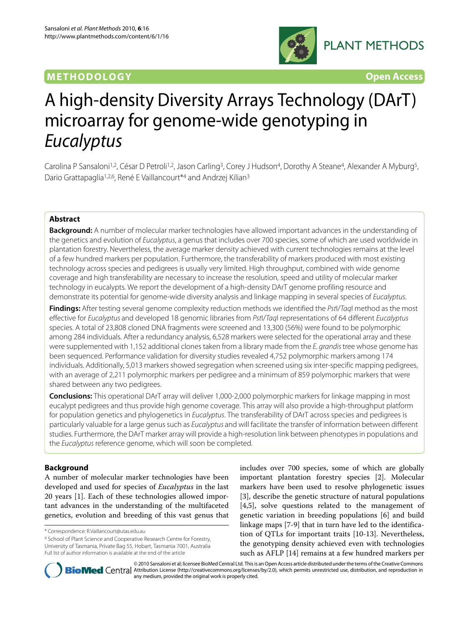## **METHODOLOGY Open Access**



# A high-density Diversity Arrays Technology (DArT) microarray for genome-wide genotyping in Eucalyptus

Carolina P Sansaloni<sup>1,2</sup>, César D Petroli<sup>1,2</sup>, Jason Carling<sup>3</sup>, Corey J Hudson<sup>4</sup>, Dorothy A Steane<sup>4</sup>, Alexander A Myburg<sup>5</sup>, Dario Grattapaglia<sup>1,2,6</sup>, René E Vaillancourt<sup>\*4</sup> and Andrzej Kilian<sup>3</sup>

## **Abstract**

**Background:** A number of molecular marker technologies have allowed important advances in the understanding of the genetics and evolution of Eucalyptus, a genus that includes over 700 species, some of which are used worldwide in plantation forestry. Nevertheless, the average marker density achieved with current technologies remains at the level of a few hundred markers per population. Furthermore, the transferability of markers produced with most existing technology across species and pedigrees is usually very limited. High throughput, combined with wide genome coverage and high transferability are necessary to increase the resolution, speed and utility of molecular marker technology in eucalypts. We report the development of a high-density DArT genome profiling resource and demonstrate its potential for genome-wide diversity analysis and linkage mapping in several species of Eucalyptus.

**Findings:** After testing several genome complexity reduction methods we identified the PstI/TaqI method as the most effective for Eucalyptus and developed 18 genomic libraries from Pstl/TaqI representations of 64 different Eucalyptus species. A total of 23,808 cloned DNA fragments were screened and 13,300 (56%) were found to be polymorphic among 284 individuals. After a redundancy analysis, 6,528 markers were selected for the operational array and these were supplemented with 1,152 additional clones taken from a library made from the E. grandis tree whose genome has been sequenced. Performance validation for diversity studies revealed 4,752 polymorphic markers among 174 individuals. Additionally, 5,013 markers showed segregation when screened using six inter-specific mapping pedigrees, with an average of 2,211 polymorphic markers per pedigree and a minimum of 859 polymorphic markers that were shared between any two pedigrees.

**Conclusions:** This operational DArT array will deliver 1,000-2,000 polymorphic markers for linkage mapping in most eucalypt pedigrees and thus provide high genome coverage. This array will also provide a high-throughput platform for population genetics and phylogenetics in Eucalyptus. The transferability of DArT across species and pedigrees is particularly valuable for a large genus such as Eucalyptus and will facilitate the transfer of information between different studies. Furthermore, the DArT marker array will provide a high-resolution link between phenotypes in populations and the Eucalyptus reference genome, which will soon be completed.

## **Background**

A number of molecular marker technologies have been developed and used for species of *Eucalyptus* in the last 20 years [[1\]](#page-9-0). Each of these technologies allowed important advances in the understanding of the multifaceted genetics, evolution and breeding of this vast genus that

includes over 700 species, some of which are globally important plantation forestry species [\[2](#page-9-1)]. Molecular markers have been used to resolve phylogenetic issues [[3\]](#page-9-2), describe the genetic structure of natural populations [[4,](#page-9-3)[5\]](#page-9-4), solve questions related to the management of genetic variation in breeding populations [\[6](#page-9-5)] and build linkage maps [\[7](#page-9-6)-[9\]](#page-9-7) that in turn have led to the identification of QTLs for important traits [\[10](#page-9-8)-[13\]](#page-9-9). Nevertheless, the genotyping density achieved even with technologies such as AFLP [\[14](#page-9-10)] remains at a few hundred markers per



© 2010 Sansaloni et al; licensee BioMed Central Ltd. This is an Open Access article distributed under the terms of the Creative Commons **Bio Med** Central Attribution License (http://creativecommons.org/licenses/by/2.0), which permits unrestricted use, distribution, and reproduction in any medium, provided the original work is properly cited.

<sup>\*</sup> Correspondence: R.Vaillancourt@utas.edu.au

<sup>4</sup> School of Plant Science and Cooperative Research Centre for Forestry, University of Tasmania, Private Bag 55, Hobart, Tasmania 7001, Australia Full list of author information is available at the end of the article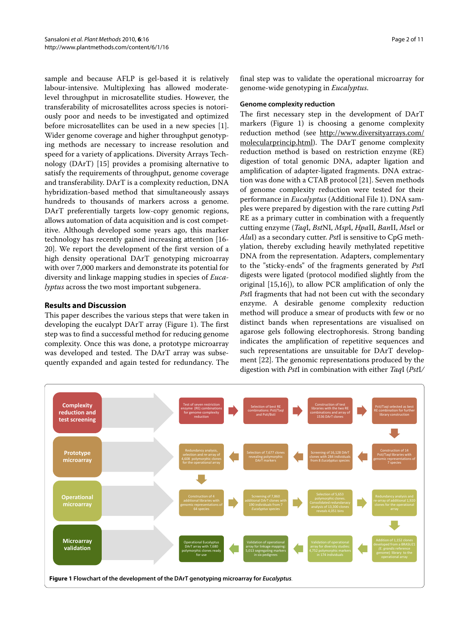sample and because AFLP is gel-based it is relatively labour-intensive. Multiplexing has allowed moderatelevel throughput in microsatellite studies. However, the transferability of microsatellites across species is notoriously poor and needs to be investigated and optimized before microsatellites can be used in a new species [\[1](#page-9-0)]. Wider genome coverage and higher throughput genotyping methods are necessary to increase resolution and speed for a variety of applications. Diversity Arrays Technology (DArT) [\[15\]](#page-9-11) provides a promising alternative to satisfy the requirements of throughput, genome coverage and transferability. DArT is a complexity reduction, DNA hybridization-based method that simultaneously assays hundreds to thousands of markers across a genome. DArT preferentially targets low-copy genomic regions, allows automation of data acquisition and is cost competitive. Although developed some years ago, this marker technology has recently gained increasing attention [\[16-](#page-9-12) [20](#page-9-13)]. We report the development of the first version of a high density operational DArT genotyping microarray with over 7,000 markers and demonstrate its potential for diversity and linkage mapping studies in species of *Eucalyptus* across the two most important subgenera.

## **Results and Discussion**

This paper describes the various steps that were taken in developing the eucalypt DArT array (Figure [1](#page-1-0)). The first step was to find a successful method for reducing genome complexity. Once this was done, a prototype microarray was developed and tested. The DArT array was subsequently expanded and again tested for redundancy. The

final step was to validate the operational microarray for genome-wide genotyping in *Eucalyptus*.

### **Genome complexity reduction**

The first necessary step in the development of DArT markers (Figure [1\)](#page-1-0) is choosing a genome complexity reduction method (see [http://www.diversityarrays.com/](http://www.diversityarrays.com/molecularprincip.html) [molecularprincip.html](http://www.diversityarrays.com/molecularprincip.html)). The DArT genome complexity reduction method is based on restriction enzyme (RE) digestion of total genomic DNA, adapter ligation and amplification of adapter-ligated fragments. DNA extraction was done with a CTAB protocol [[21\]](#page-10-0). Seven methods of genome complexity reduction were tested for their performance in *Eucalyptus* (Additional File [1](#page-9-14)). DNA samples were prepared by digestion with the rare cutting *Pst*I RE as a primary cutter in combination with a frequently cutting enzyme (*Taq*I, *Bst*NI, *Msp*I, *Hpa*II, *Ban*II, *Mse*I or *Alu*I) as a secondary cutter. *Pst*I is sensitive to CpG methylation, thereby excluding heavily methylated repetitive DNA from the representation. Adapters, complementary to the "sticky-ends" of the fragments generated by *Pst*I digests were ligated (protocol modified slightly from the original [[15,](#page-9-11)[16\]](#page-9-12)), to allow PCR amplification of only the *Pst*I fragments that had not been cut with the secondary enzyme. A desirable genome complexity reduction method will produce a smear of products with few or no distinct bands when representations are visualised on agarose gels following electrophoresis. Strong banding indicates the amplification of repetitive sequences and such representations are unsuitable for DArT development [[22\]](#page-10-1). The genomic representations produced by the digestion with *Pst*I in combination with either *Taq*I (*Pst*I*/*

<span id="page-1-0"></span>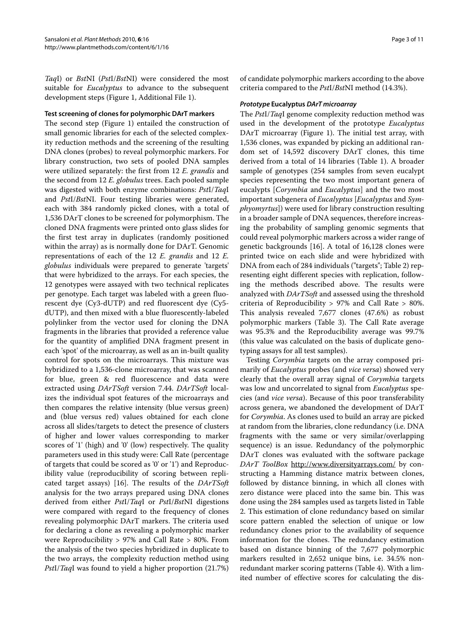*Taq*I) or *Bst*NI (*Pst*I/*Bst*NI) were considered the most suitable for *Eucalyptus* to advance to the subsequent development steps (Figure [1](#page-1-0), Additional File [1\)](#page-9-14).

#### **Test screening of clones for polymorphic DArT markers**

The second step (Figure [1\)](#page-1-0) entailed the construction of small genomic libraries for each of the selected complexity reduction methods and the screening of the resulting DNA clones (probes) to reveal polymorphic markers. For library construction, two sets of pooled DNA samples were utilized separately: the first from 12 *E. grandis* and the second from 12 *E. globulus* trees. Each pooled sample was digested with both enzyme combinations: *Pst*I/*Taq*I and *Pst*I/*Bst*NI. Four testing libraries were generated, each with 384 randomly picked clones, with a total of 1,536 DArT clones to be screened for polymorphism. The cloned DNA fragments were printed onto glass slides for the first test array in duplicates (randomly positioned within the array) as is normally done for DArT. Genomic representations of each of the 12 *E. grandis* and 12 *E. globulus* individuals were prepared to generate 'targets' that were hybridized to the arrays. For each species, the 12 genotypes were assayed with two technical replicates per genotype. Each target was labeled with a green fluorescent dye (Cy3-dUTP) and red fluorescent dye (Cy5 dUTP), and then mixed with a blue fluorescently-labeled polylinker from the vector used for cloning the DNA fragments in the libraries that provided a reference value for the quantity of amplified DNA fragment present in each 'spot' of the microarray, as well as an in-built quality control for spots on the microarrays. This mixture was hybridized to a 1,536-clone microarray, that was scanned for blue, green & red fluorescence and data were extracted using *DArTSoft* version 7.44. *DArTSoft* localizes the individual spot features of the microarrays and then compares the relative intensity (blue versus green) and (blue versus red) values obtained for each clone across all slides/targets to detect the presence of clusters of higher and lower values corresponding to marker scores of '1' (high) and '0' (low) respectively. The quality parameters used in this study were: Call Rate (percentage of targets that could be scored as '0' or '1') and Reproducibility value (reproducibility of scoring between replicated target assays) [[16\]](#page-9-12). The results of the *DArTSoft* analysis for the two arrays prepared using DNA clones derived from either *Pst*I/*Taq*I or *Pst*I/*Bst*NI digestions were compared with regard to the frequency of clones revealing polymorphic DArT markers. The criteria used for declaring a clone as revealing a polymorphic marker were Reproducibility > 97% and Call Rate > 80%. From the analysis of the two species hybridized in duplicate to the two arrays, the complexity reduction method using *Pst*I/*Taq*I was found to yield a higher proportion (21.7%)

of candidate polymorphic markers according to the above criteria compared to the *Pst*I/*Bst*NI method (14.3%).

#### **Prototype Eucalyptus DArT microarray**

The *Pst*I/*Taq*I genome complexity reduction method was used in the development of the prototype *Eucalyptus* DArT microarray (Figure [1](#page-1-0)). The initial test array, with 1,536 clones, was expanded by picking an additional random set of 14,592 discovery DArT clones, this time derived from a total of 14 libraries (Table 1). A broader sample of genotypes (254 samples from seven eucalypt species representing the two most important genera of eucalypts [*Corymbia* and *Eucalyptus*] and the two most important subgenera of *Eucalyptus* [*Eucalyptus* and *Symphyomyrtus*]) were used for library construction resulting in a broader sample of DNA sequences, therefore increasing the probability of sampling genomic segments that could reveal polymorphic markers across a wider range of genetic backgrounds [[16\]](#page-9-12). A total of 16,128 clones were printed twice on each slide and were hybridized with DNA from each of 284 individuals ("targets"; Table [2](#page-3-0)) representing eight different species with replication, following the methods described above. The results were analyzed with *DArTSoft* and assessed using the threshold criteria of Reproducibility > 97% and Call Rate > 80%. This analysis revealed 7,677 clones (47.6%) as robust polymorphic markers (Table 3). The Call Rate average was 95.3% and the Reproducibility average was 99.7% (this value was calculated on the basis of duplicate genotyping assays for all test samples).

Testing *Corymbia* targets on the array composed primarily of *Eucalyptus* probes (and *vice versa*) showed very clearly that the overall array signal of *Corymbia* targets was low and uncorrelated to signal from *Eucalyptus* species (and *vice versa*). Because of this poor transferability across genera, we abandoned the development of DArT for *Corymbia*. As clones used to build an array are picked at random from the libraries, clone redundancy (i.e. DNA fragments with the same or very similar/overlapping sequence) is an issue. Redundancy of the polymorphic DArT clones was evaluated with the software package *DArT ToolBox* <http://www.diversityarrays.com/> by constructing a Hamming distance matrix between clones, followed by distance binning, in which all clones with zero distance were placed into the same bin. This was done using the 284 samples used as targets listed in Table 2. This estimation of clone redundancy based on similar score pattern enabled the selection of unique or low redundancy clones prior to the availability of sequence information for the clones. The redundancy estimation based on distance binning of the 7,677 polymorphic markers resulted in 2,652 unique bins, i.e. 34.5% nonredundant marker scoring patterns (Table 4). With a limited number of effective scores for calculating the dis-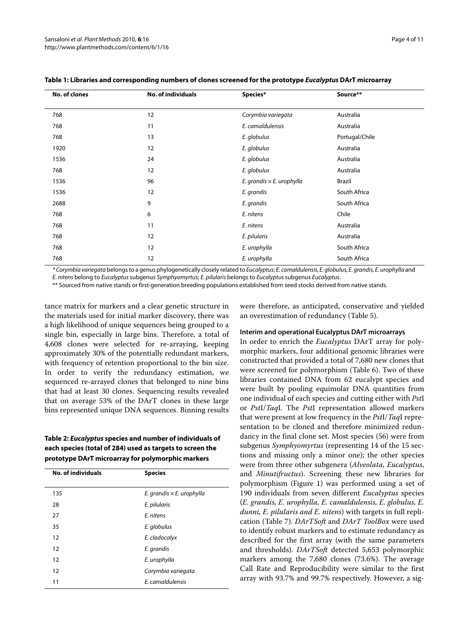| No. of clones | <b>No. of individuals</b> | Species*                         | Source**       |
|---------------|---------------------------|----------------------------------|----------------|
| 768           | 12                        | Corymbia variegata               | Australia      |
| 768           | 11                        | E. camaldulensis                 | Australia      |
| 768           | 13                        | E. globulus                      | Portugal/Chile |
| 1920          | 12                        | E. globulus                      | Australia      |
| 1536          | 24                        | E. globulus                      | Australia      |
| 768           | 12                        | E. globulus                      | Australia      |
| 1536          | 96                        | E. grandis $\times$ E. urophylla | Brazil         |
| 1536          | 12                        | E. grandis                       | South Africa   |
| 2688          | 9                         | E. grandis                       | South Africa   |
| 768           | 6                         | E. nitens                        | Chile          |
| 768           | 11                        | E. nitens                        | Australia      |
| 768           | 12                        | E. pilularis                     | Australia      |
| 768           | 12                        | E. urophylla                     | South Africa   |
| 768           | 12                        | E. urophylla                     | South Africa   |

## **Table 1: Libraries and corresponding numbers of clones screened for the prototype Eucalyptus DArT microarray**

\* Corymbia variegata belongs to a genus phylogenetically closely related to Eucalyptus; E. camaldulensis, E. globulus, E. grandis, E. urophylla and E. nitens belong to Eucalyptus subgenus Symphyomyrtus; E. pilularis belongs to Eucalyptus subgenus Eucalyptus.

\*\* Sourced from native stands or first-generation breeding populations established from seed stocks derived from native stands.

tance matrix for markers and a clear genetic structure in the materials used for initial marker discovery, there was a high likelihood of unique sequences being grouped to a single bin, especially in large bins. Therefore, a total of 4,608 clones were selected for re-arraying, keeping approximately 30% of the potentially redundant markers, with frequency of retention proportional to the bin size. In order to verify the redundancy estimation, we sequenced re-arrayed clones that belonged to nine bins that had at least 30 clones. Sequencing results revealed that on average 53% of the DArT clones in these large bins represented unique DNA sequences. Binning results

## <span id="page-3-0"></span>**Table 2: Eucalyptus species and number of individuals of each species (total of 284) used as targets to screen the prototype DArT microarray for polymorphic markers**

| No. of individuals | <b>Species</b>                   |
|--------------------|----------------------------------|
| 135                | E. grandis $\times$ E. urophylla |
| 28                 | E. pilularis                     |
| 27                 | F. nitens                        |
| 35                 | E. globulus                      |
| 12                 | E. cladocalyx                    |
| 12                 | E. grandis                       |
| 12                 | E. urophylla                     |
| 12                 | Corymbia variegata               |
| 11                 | E camaldulensis                  |
|                    |                                  |

were therefore, as anticipated, conservative and yielded an overestimation of redundancy (Table 5).

### **Interim and operational Eucalyptus DArT microarrays**

In order to enrich the *Eucalyptus* DArT array for polymorphic markers, four additional genomic libraries were constructed that provided a total of 7,680 new clones that were screened for polymorphism (Table [6](#page-5-0)). Two of these libraries contained DNA from 62 eucalypt species and were built by pooling equimolar DNA quantities from one individual of each species and cutting either with *Pst*I or *Pst*I/*Taq*I. The *Pst*I representation allowed markers that were present at low frequency in the *Pst*I/*Taq*I representation to be cloned and therefore minimized redundancy in the final clone set. Most species (56) were from subgenus *Symphyomyrtus* (representing 14 of the 15 sections and missing only a minor one); the other species were from three other subgenera (*Alveolata, Eucalyptus*, and *Minutifructus*). Screening these new libraries for polymorphism (Figure [1\)](#page-1-0) was performed using a set of 190 individuals from seven different *Eucalyptus* species (*E. grandis, E. urophylla, E. camaldulensis, E. globulus, E. dunni, E. pilularis and E. nitens*) with targets in full replication (Table 7). *DArTSoft* and *DArT ToolBox* were used to identify robust markers and to estimate redundancy as described for the first array (with the same parameters and thresholds). *DArTSoft* detected 5,653 polymorphic markers among the 7,680 clones (73.6%). The average Call Rate and Reproducibility were similar to the first array with 93.7% and 99.7% respectively. However, a sig-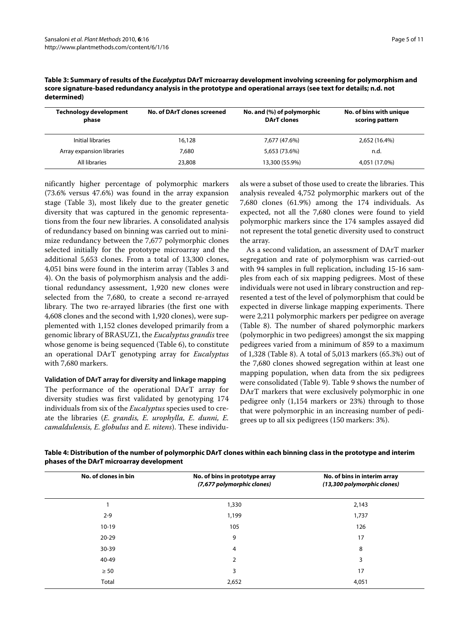| <b>Technology development</b><br>phase | No. of DArT clones screened | No. and (%) of polymorphic<br><b>DArT</b> clones | No. of bins with unique<br>scoring pattern |
|----------------------------------------|-----------------------------|--------------------------------------------------|--------------------------------------------|
| Initial libraries                      | 16,128                      | 7,677 (47.6%)                                    | 2,652 (16.4%)                              |
| Array expansion libraries              | 7,680                       | 5,653 (73.6%)                                    | n.d.                                       |
| All libraries                          | 23,808                      | 13,300 (55.9%)                                   | 4,051 (17.0%)                              |

<span id="page-4-0"></span>**Table 3: Summary of results of the Eucalyptus DArT microarray development involving screening for polymorphism and score signature-based redundancy analysis in the prototype and operational arrays (see text for details; n.d. not determined)**

nificantly higher percentage of polymorphic markers (73.6% versus 47.6%) was found in the array expansion stage (Table 3), most likely due to the greater genetic diversity that was captured in the genomic representations from the four new libraries. A consolidated analysis of redundancy based on binning was carried out to minimize redundancy between the 7,677 polymorphic clones selected initially for the prototype microarray and the additional 5,653 clones. From a total of 13,300 clones, 4,051 bins were found in the interim array (Tables [3](#page-4-0) and 4). On the basis of polymorphism analysis and the additional redundancy assessment, 1,920 new clones were selected from the 7,680, to create a second re-arrayed library. The two re-arrayed libraries (the first one with 4,608 clones and the second with 1,920 clones), were supplemented with 1,152 clones developed primarily from a genomic library of BRASUZ1, the *Eucalyptus grandis* tree whose genome is being sequenced (Table [6](#page-5-0)), to constitute an operational DArT genotyping array for *Eucalyptus* with 7,680 markers.

#### **Validation of DArT array for diversity and linkage mapping**

The performance of the operational DArT array for diversity studies was first validated by genotyping 174 individuals from six of the *Eucalyptus* species used to create the libraries (*E. grandis, E. urophylla, E. dunni, E. camaldulensis, E. globulus* and *E. nitens*). These individuals were a subset of those used to create the libraries. This analysis revealed 4,752 polymorphic markers out of the 7,680 clones (61.9%) among the 174 individuals. As expected, not all the 7,680 clones were found to yield polymorphic markers since the 174 samples assayed did not represent the total genetic diversity used to construct the array.

As a second validation, an assessment of DArT marker segregation and rate of polymorphism was carried-out with 94 samples in full replication, including 15-16 samples from each of six mapping pedigrees. Most of these individuals were not used in library construction and represented a test of the level of polymorphism that could be expected in diverse linkage mapping experiments. There were 2,211 polymorphic markers per pedigree on average (Table 8). The number of shared polymorphic markers (polymorphic in two pedigrees) amongst the six mapping pedigrees varied from a minimum of 859 to a maximum of 1,328 (Table 8). A total of 5,013 markers (65.3%) out of the 7,680 clones showed segregation within at least one mapping population, when data from the six pedigrees were consolidated (Table 9). Table 9 shows the number of DArT markers that were exclusively polymorphic in one pedigree only (1,154 markers or 23%) through to those that were polymorphic in an increasing number of pedigrees up to all six pedigrees (150 markers: 3%).

| Table 4: Distribution of the number of polymorphic DArT clones within each binning class in the prototype and interim |
|-----------------------------------------------------------------------------------------------------------------------|
| phases of the DArT microarray development                                                                             |

| No. of clones in bin | No. of bins in prototype array<br>(7,677 polymorphic clones) | No. of bins in interim array<br>(13,300 polymorphic clones) |
|----------------------|--------------------------------------------------------------|-------------------------------------------------------------|
|                      | 1,330                                                        | 2,143                                                       |
| $2 - 9$              | 1,199                                                        | 1,737                                                       |
| $10-19$              | 105                                                          | 126                                                         |
| $20 - 29$            | 9                                                            | 17                                                          |
| 30-39                | 4                                                            | 8                                                           |
| 40-49                | 2                                                            | 3                                                           |
| $\geq 50$            | 3                                                            | 17                                                          |
| Total                | 2,652                                                        | 4,051                                                       |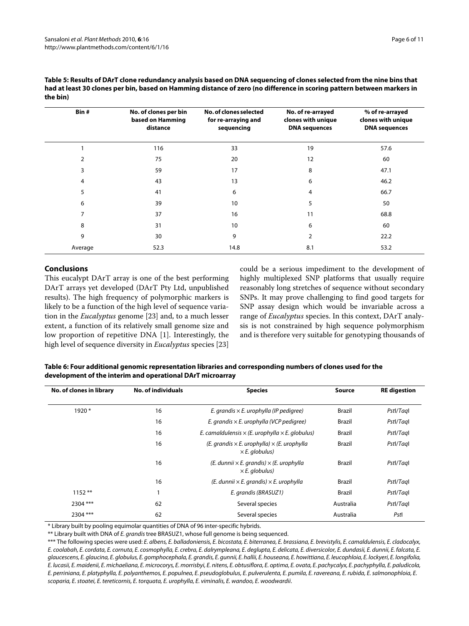| Table 5: Results of DArT clone redundancy analysis based on DNA sequencing of clones selected from the nine bins that  |
|------------------------------------------------------------------------------------------------------------------------|
| had at least 30 clones per bin, based on Hamming distance of zero (no difference in scoring pattern between markers in |
| the bin)                                                                                                               |

| Bin#           | No. of clones per bin<br>based on Hamming<br>distance | No. of clones selected<br>for re-arraying and<br>sequencing | No. of re-arrayed<br>clones with unique<br><b>DNA</b> sequences | % of re-arrayed<br>clones with unique<br><b>DNA</b> sequences |
|----------------|-------------------------------------------------------|-------------------------------------------------------------|-----------------------------------------------------------------|---------------------------------------------------------------|
|                | 116                                                   | 33                                                          | 19                                                              | 57.6                                                          |
| $\overline{2}$ | 75                                                    | 20                                                          | 12                                                              | 60                                                            |
| 3              | 59                                                    | 17                                                          | 8                                                               | 47.1                                                          |
| 4              | 43                                                    | 13                                                          | 6                                                               | 46.2                                                          |
| 5              | 41                                                    | 6                                                           | 4                                                               | 66.7                                                          |
| 6              | 39                                                    | 10                                                          | 5                                                               | 50                                                            |
| 7              | 37                                                    | 16                                                          | 11                                                              | 68.8                                                          |
| 8              | 31                                                    | 10                                                          | 6                                                               | 60                                                            |
| 9              | 30                                                    | 9                                                           | 2                                                               | 22.2                                                          |
| Average        | 52.3                                                  | 14.8                                                        | 8.1                                                             | 53.2                                                          |

## **Conclusions**

This eucalypt DArT array is one of the best performing DArT arrays yet developed (DArT Pty Ltd, unpublished results). The high frequency of polymorphic markers is likely to be a function of the high level of sequence variation in the *Eucalyptus* genome [[23\]](#page-10-2) and, to a much lesser extent, a function of its relatively small genome size and low proportion of repetitive DNA [[1\]](#page-9-0). Interestingly, the high level of sequence diversity in *Eucalyptus* species [[23](#page-10-2)] could be a serious impediment to the development of highly multiplexed SNP platforms that usually require reasonably long stretches of sequence without secondary SNPs. It may prove challenging to find good targets for SNP assay design which would be invariable across a range of *Eucalyptus* species. In this context, DArT analysis is not constrained by high sequence polymorphism and is therefore very suitable for genotyping thousands of

## <span id="page-5-0"></span>**Table 6: Four additional genomic representation libraries and corresponding numbers of clones used for the development of the interim and operational DArT microarray**

| No. of clones in library | <b>No. of individuals</b> | <b>Species</b>                                                                     | <b>Source</b> | <b>RE</b> digestion |
|--------------------------|---------------------------|------------------------------------------------------------------------------------|---------------|---------------------|
| $1920*$                  | 16                        | E. grandis $\times$ E. urophylla (IP pedigree)                                     | Brazil        | Pstl/Tagl           |
|                          | 16                        | E. grandis $\times$ E. urophylla (VCP pedigree)                                    | Brazil        | Pstl/Tagl           |
|                          | 16                        | E. camaldulensis $\times$ (E. urophylla $\times$ E. globulus)                      | <b>Brazil</b> | Pstl/Tagl           |
|                          | 16                        | (E. grandis $\times$ E. urophylla) $\times$ (E. urophylla<br>$\times$ E. globulus) | Brazil        | Pstl/Tagl           |
|                          | 16                        | $(E.$ dunnii $\times E.$ grandis) $\times$ (E. urophylla<br>$\times$ E. globulus)  | Brazil        | Pstl/Tagl           |
|                          | 16                        | $(E.$ dunnii $\times E.$ grandis) $\times E.$ urophylla                            | Brazil        | Pstl/Tagl           |
| $1152**$                 | 1                         | E. grandis (BRASUZ1)                                                               | Brazil        | Pstl/Tagl           |
| 2304 ***                 | 62                        | Several species                                                                    | Australia     | Pstl/Tagl           |
| 2304 ***                 | 62                        | Several species                                                                    | Australia     | Pstl                |

\* Library built by pooling equimolar quantities of DNA of 96 inter-specific hybrids.

\*\* Library built with DNA of E. grandis tree BRASUZ1, whose full genome is being sequenced.

\*\*\* The following species were used: E. albens, E. balladoniensis, E. bicostata, E. biterranea, E. brassiana, E. brevistylis, E. camaldulensis, E. cladocalyx, E. coolabah, E. cordata, E. cornuta, E. cosmophylla, E. crebra, E. dalrympleana, E. deglupta, E. delicata, E. diversicolor, E. dundasii, E. dunnii, E. falcata, E. glaucescens, E. glaucina, E. globulus, E. gomphocephala, E. grandis, E. gunnii, E. hallii, E. houseana, E. howittiana, E. leucophloia, E. lockyeri, E. longifolia, E. lucasii, E. maidenii, E. michaeliana, E. microcorys, E. morrisbyi, E. nitens, E. obtusiflora, E. optima, E. ovata, E. pachycalyx, E. pachyphylla, E. paludicola, E. perriniana, E. platyphylla, E. polyanthemos, E. populnea, E. pseudoglobulus, E. pulverulenta, E. pumila, E. ravereana, E. rubida, E. salmonophloia, E. scoparia, E. stoatei, E. tereticornis, E. torquata, E. urophylla, E. viminalis, E. wandoo, E. woodwardii.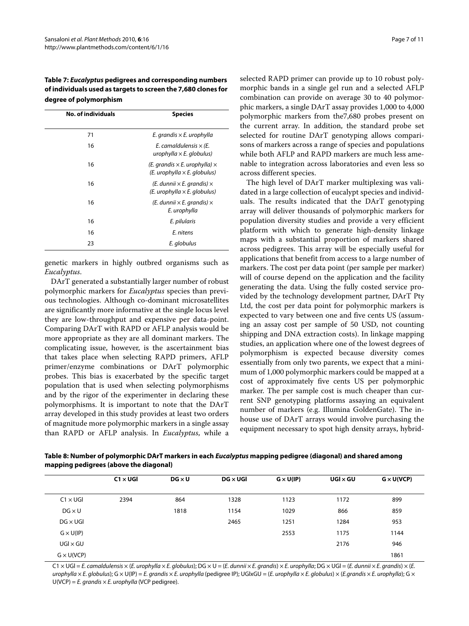**Table 7: Eucalyptus pedigrees and corresponding numbers of individuals used as targets to screen the 7,680 clones for degree of polymorphism**

| <b>No. of individuals</b> | <b>Species</b>                                                                     |
|---------------------------|------------------------------------------------------------------------------------|
| 71                        | E. grandis $\times$ E. urophylla                                                   |
| 16                        | E. camaldulensis $\times$ (E.<br>urophylla $\times$ E. globulus)                   |
| 16                        | (E. grandis $\times$ E. urophylla) $\times$<br>$(E. urobhylla \times E. globulus)$ |
| 16                        | $(E.$ dunnii $\times E.$ grandis) $\times$<br>$(E. urobhylla \times E. globulus)$  |
| 16                        | $(E.$ dunnii $\times E.$ grandis) $\times$<br>E. urophylla                         |
| 16                        | E. pilularis                                                                       |
| 16                        | E. nitens                                                                          |
| 23                        | E. globulus                                                                        |

genetic markers in highly outbred organisms such as *Eucalyptus*.

DArT generated a substantially larger number of robust polymorphic markers for *Eucalyptus* species than previous technologies. Although co-dominant microsatellites are significantly more informative at the single locus level they are low-throughput and expensive per data-point. Comparing DArT with RAPD or AFLP analysis would be more appropriate as they are all dominant markers. The complicating issue, however, is the ascertainment bias that takes place when selecting RAPD primers, AFLP primer/enzyme combinations or DArT polymorphic probes. This bias is exacerbated by the specific target population that is used when selecting polymorphisms and by the rigor of the experimenter in declaring these polymorphisms. It is important to note that the DArT array developed in this study provides at least two orders of magnitude more polymorphic markers in a single assay than RAPD or AFLP analysis. In *Eucalyptus*, while a

selected RAPD primer can provide up to 10 robust polymorphic bands in a single gel run and a selected AFLP combination can provide on average 30 to 40 polymorphic markers, a single DArT assay provides 1,000 to 4,000 polymorphic markers from the7,680 probes present on the current array. In addition, the standard probe set selected for routine DArT genotyping allows comparisons of markers across a range of species and populations while both AFLP and RAPD markers are much less amenable to integration across laboratories and even less so across different species.

The high level of DArT marker multiplexing was validated in a large collection of eucalypt species and individuals. The results indicated that the DArT genotyping array will deliver thousands of polymorphic markers for population diversity studies and provide a very efficient platform with which to generate high-density linkage maps with a substantial proportion of markers shared across pedigrees. This array will be especially useful for applications that benefit from access to a large number of markers. The cost per data point (per sample per marker) will of course depend on the application and the facility generating the data. Using the fully costed service provided by the technology development partner, DArT Pty Ltd, the cost per data point for polymorphic markers is expected to vary between one and five cents US (assuming an assay cost per sample of 50 USD, not counting shipping and DNA extraction costs). In linkage mapping studies, an application where one of the lowest degrees of polymorphism is expected because diversity comes essentially from only two parents, we expect that a minimum of 1,000 polymorphic markers could be mapped at a cost of approximately five cents US per polymorphic marker. The per sample cost is much cheaper than current SNP genotyping platforms assaying an equivalent number of markers (e.g. Illumina GoldenGate). The inhouse use of DArT arrays would involve purchasing the equipment necessary to spot high density arrays, hybrid-

**Table 8: Number of polymorphic DArT markers in each Eucalyptus mapping pedigree (diagonal) and shared among mapping pedigrees (above the diagonal)**

|                   | $C1 \times UGI$ | $DG \times U$ | $DG \times UGI$ | $G \times U(IP)$ | $UGI \times GU$ | $G \times U(VCP)$ |
|-------------------|-----------------|---------------|-----------------|------------------|-----------------|-------------------|
|                   |                 |               |                 |                  |                 |                   |
| $C1 \times UGI$   | 2394            | 864           | 1328            | 1123             | 1172            | 899               |
| $DG \times U$     |                 | 1818          | 1154            | 1029             | 866             | 859               |
| $DG \times UGI$   |                 |               | 2465            | 1251             | 1284            | 953               |
| $G \times U(IP)$  |                 |               |                 | 2553             | 1175            | 1144              |
| $UGI \times GU$   |                 |               |                 |                  | 2176            | 946               |
| $G \times U(VCP)$ |                 |               |                 |                  |                 | 1861              |

 $C1 \times UGI = E.$  camaldulensis  $\times$  (E. urophylla  $\times E.$  alobulus); DG  $\times U = (E.$  dunnii  $\times E.$  grandis)  $\times E.$  urophylla; DG  $\times UGI = (E.$  dunnii  $\times E.$  grandis)  $\times$  (E. urophylla  $\times$  E. globulus); G  $\times$  U(IP) = E. grandis  $\times$  E. urophylla (pedigree IP); UGIxGU = (E. urophylla  $\times$  E. globulus)  $\times$  (E.grandis  $\times$  E. urophylla); G  $\times$  $U(VCP) = E.$  grandis  $\times E.$  urophylla (VCP pedigree).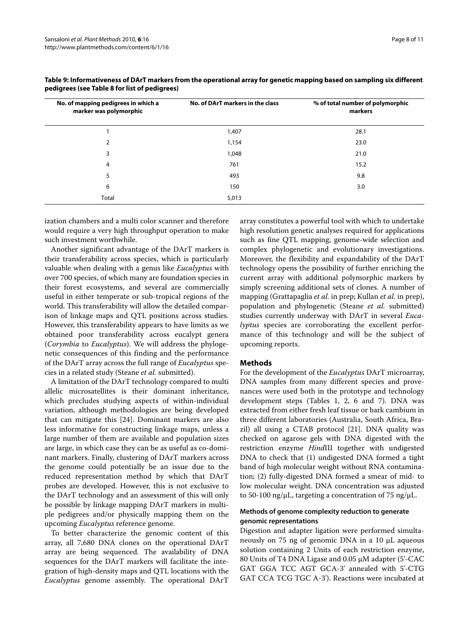| No. of mapping pedigrees in which a<br>marker was polymorphic | No. of DArT markers in the class | % of total number of polymorphic<br>markers |
|---------------------------------------------------------------|----------------------------------|---------------------------------------------|
|                                                               | 1,407                            | 28.1                                        |
| 2                                                             | 1,154                            | 23.0                                        |
| 3                                                             | 1,048                            | 21.0                                        |
| 4                                                             | 761                              | 15.2                                        |
| 5                                                             | 493                              | 9.8                                         |
| 6                                                             | 150                              | 3.0                                         |
| Total                                                         | 5,013                            |                                             |

## **Table 9: Informativeness of DArT markers from the operational array for genetic mapping based on sampling six different pedigrees (see Table 8 for list of pedigrees)**

ization chambers and a multi color scanner and therefore would require a very high throughput operation to make such investment worthwhile.

Another significant advantage of the DArT markers is their transferability across species, which is particularly valuable when dealing with a genus like *Eucalyptus* with over 700 species, of which many are foundation species in their forest ecosystems, and several are commercially useful in either temperate or sub-tropical regions of the world. This transferability will allow the detailed comparison of linkage maps and QTL positions across studies. However, this transferability appears to have limits as we obtained poor transferability across eucalypt genera (*Corymbia* to *Eucalyptus*). We will address the phylogenetic consequences of this finding and the performance of the DArT array across the full range of *Eucalyptus* species in a related study (Steane *et al.* submitted).

A limitation of the DArT technology compared to multi allelic microsatellites is their dominant inheritance, which precludes studying aspects of within-individual variation, although methodologies are being developed that can mitigate this [\[24](#page-10-3)]. Dominant markers are also less informative for constructing linkage maps, unless a large number of them are available and population sizes are large, in which case they can be as useful as co-dominant markers. Finally, clustering of DArT markers across the genome could potentially be an issue due to the reduced representation method by which that DArT probes are developed. However, this is not exclusive to the DArT technology and an assessment of this will only be possible by linkage mapping DArT markers in multiple pedigrees and/or physically mapping them on the upcoming *Eucalyptus* reference genome.

To better characterize the genomic content of this array, all 7,680 DNA clones on the operational DArT array are being sequenced. The availability of DNA sequences for the DArT markers will facilitate the integration of high-density maps and QTL locations with the *Eucalyptus* genome assembly. The operational DArT

array constitutes a powerful tool with which to undertake high resolution genetic analyses required for applications such as fine QTL mapping, genome-wide selection and complex phylogenetic and evolutionary investigations. Moreover, the flexibility and expandability of the DArT technology opens the possibility of further enriching the current array with additional polymorphic markers by simply screening additional sets of clones. A number of mapping (Grattapaglia *et al.* in prep; Kullan *et al.* in prep), population and phylogenetic (Steane *et al.* submitted) studies currently underway with DArT in several *Eucalyptus* species are corroborating the excellent performance of this technology and will be the subject of upcoming reports.

## **Methods**

For the development of the *Eucalyptus* DArT microarray, DNA samples from many different species and provenances were used both in the prototype and technology development steps (Tables 1, 2, 6 and 7). DNA was extracted from either fresh leaf tissue or bark cambium in three different laboratories (Australia, South Africa, Brazil) all using a CTAB protocol [[21](#page-10-0)]. DNA quality was checked on agarose gels with DNA digested with the restriction enzyme *Hind*III together with undigested DNA to check that (1) undigested DNA formed a tight band of high molecular weight without RNA contamination; (2) fully-digested DNA formed a smear of mid- to low molecular weight. DNA concentration was adjusted to 50-100 ng/μL, targeting a concentration of 75 ng/μL.

## **Methods of genome complexity reduction to generate genomic representations**

Digestion and adapter ligation were performed simultaneously on 75 ng of genomic DNA in a 10 μL aqueous solution containing 2 Units of each restriction enzyme, 80 Units of T4 DNA Ligase and 0.05 μM adapter (5'-CAC GAT GGA TCC AGT GCA-3' annealed with 5'-CTG GAT CCA TCG TGC A-3'). Reactions were incubated at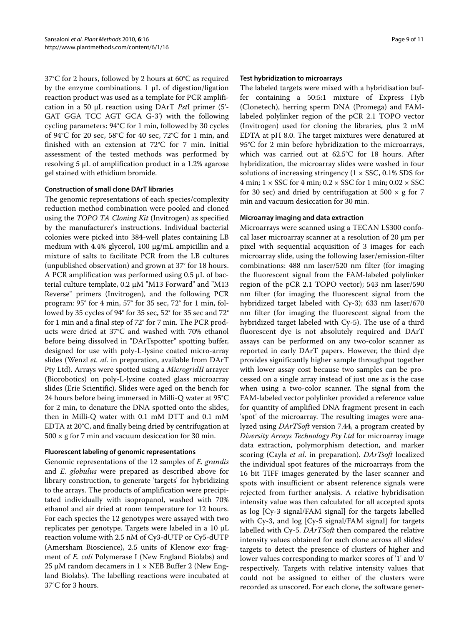37°C for 2 hours, followed by 2 hours at 60°C as required by the enzyme combinations. 1 μL of digestion/ligation reaction product was used as a template for PCR amplification in a 50 μL reaction using DArT *Pst*I primer (5'- GAT GGA TCC AGT GCA G-3') with the following cycling parameters: 94°C for 1 min, followed by 30 cycles of 94°C for 20 sec, 58°C for 40 sec, 72°C for 1 min, and finished with an extension at 72°C for 7 min. Initial assessment of the tested methods was performed by resolving 5 μL of amplification product in a 1.2% agarose gel stained with ethidium bromide.

## **Construction of small clone DArT libraries**

The genomic representations of each species/complexity reduction method combination were pooled and cloned using the *TOPO TA Cloning Kit* (Invitrogen) as specified by the manufacturer's instructions. Individual bacterial colonies were picked into 384-well plates containing LB medium with 4.4% glycerol, 100 μg/mL ampicillin and a mixture of salts to facilitate PCR from the LB cultures (unpublished observation) and grown at 37° for 18 hours. A PCR amplification was performed using 0.5 μL of bacterial culture template, 0.2 μM "M13 Forward" and "M13 Reverse" primers (Invitrogen), and the following PCR program: 95° for 4 min, 57° for 35 sec, 72° for 1 min, followed by 35 cycles of 94° for 35 sec, 52° for 35 sec and 72° for 1 min and a final step of 72° for 7 min. The PCR products were dried at 37°C and washed with 70% ethanol before being dissolved in "DArTspotter" spotting buffer, designed for use with poly-L-lysine coated micro-array slides (Wenzl *et. al.* in preparation, available from DArT Pty Ltd). Arrays were spotted using a *MicrogridII* arrayer (Biorobotics) on poly-L-lysine coated glass microarray slides (Erie Scientific). Slides were aged on the bench for 24 hours before being immersed in Milli-Q water at 95°C for 2 min, to denature the DNA spotted onto the slides, then in Milli-Q water with 0.1 mM DTT and 0.1 mM EDTA at 20°C, and finally being dried by centrifugation at  $500 \times g$  for 7 min and vacuum desiccation for 30 min.

#### **Fluorescent labeling of genomic representations**

Genomic representations of the 12 samples of *E. grandis* and *E. globulus* were prepared as described above for library construction, to generate 'targets' for hybridizing to the arrays. The products of amplification were precipitated individually with isopropanol, washed with 70% ethanol and air dried at room temperature for 12 hours. For each species the 12 genotypes were assayed with two replicates per genotype. Targets were labeled in a 10 μL reaction volume with 2.5 nM of Cy3-dUTP or Cy5-dUTP (Amersham Bioscience), 2.5 units of Klenow exo- fragment of *E. coli* Polymerase I (New England Biolabs) and 25 μM random decamers in  $1 \times$  NEB Buffer 2 (New England Biolabs). The labelling reactions were incubated at 37°C for 3 hours.

#### **Test hybridization to microarrays**

The labeled targets were mixed with a hybridisation buffer containing a 50:5:1 mixture of Express Hyb (Clonetech), herring sperm DNA (Promega) and FAMlabeled polylinker region of the pCR 2.1 TOPO vector (Invitrogen) used for cloning the libraries, plus 2 mM EDTA at pH 8.0. The target mixtures were denatured at 95°C for 2 min before hybridization to the microarrays, which was carried out at 62.5°C for 18 hours. After hybridization, the microarray slides were washed in four solutions of increasing stringency  $(1 \times SSC, 0.1\% SDS$  for 4 min;  $1 \times SSC$  for 4 min;  $0.2 \times SSC$  for 1 min;  $0.02 \times SSC$ for 30 sec) and dried by centrifugation at 500  $\times$  g for 7 min and vacuum desiccation for 30 min.

#### **Microarray imaging and data extraction**

Microarrays were scanned using a TECAN LS300 confocal laser microarray scanner at a resolution of 20 μm per pixel with sequential acquisition of 3 images for each microarray slide, using the following laser/emission-filter combinations: 488 nm laser/520 nm filter (for imaging the fluorescent signal from the FAM-labeled polylinker region of the pCR 2.1 TOPO vector); 543 nm laser/590 nm filter (for imaging the fluorescent signal from the hybridized target labeled with Cy-3); 633 nm laser/670 nm filter (for imaging the fluorescent signal from the hybridized target labeled with Cy-5). The use of a third fluorescent dye is not absolutely required and DArT assays can be performed on any two-color scanner as reported in early DArT papers. However, the third dye provides significantly higher sample throughput together with lower assay cost because two samples can be processed on a single array instead of just one as is the case when using a two-color scanner. The signal from the FAM-labeled vector polylinker provided a reference value for quantity of amplified DNA fragment present in each 'spot' of the microarray. The resulting images were analyzed using *DArTSoft* version 7.44, a program created by *Diversity Arrays Technology Pty Ltd* for microarray image data extraction, polymorphism detection, and marker scoring (Cayla *et al*. in preparation). *DArTsoft* localized the individual spot features of the microarrays from the 16 bit TIFF images generated by the laser scanner and spots with insufficient or absent reference signals were rejected from further analysis. A relative hybridisation intensity value was then calculated for all accepted spots as log [Cy-3 signal/FAM signal] for the targets labelled with Cy-3, and log [Cy-5 signal/FAM signal] for targets labelled with Cy-5. *DArTSoft* then compared the relative intensity values obtained for each clone across all slides/ targets to detect the presence of clusters of higher and lower values corresponding to marker scores of '1' and '0' respectively. Targets with relative intensity values that could not be assigned to either of the clusters were recorded as unscored. For each clone, the software gener-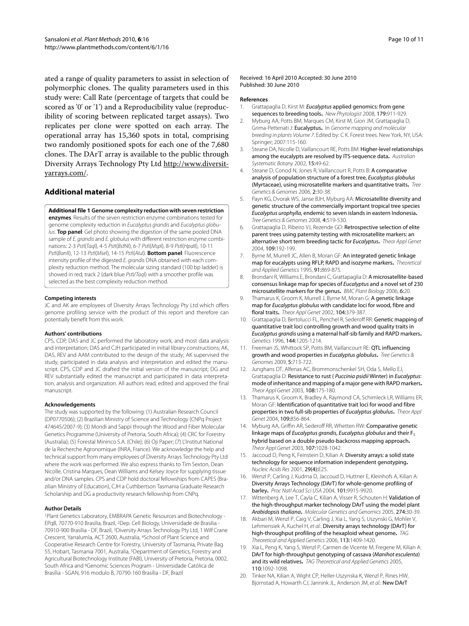ated a range of quality parameters to assist in selection of polymorphic clones. The quality parameters used in this study were: Call Rate (percentage of targets that could be scored as '0' or '1') and a Reproducibility value (reproducibility of scoring between replicated target assays). Two replicates per clone were spotted on each array. The operational array has 15,360 spots in total, comprising two randomly positioned spots for each one of the 7,680 clones. The DArT array is available to the public through Diversity Arrays Technology Pty Ltd [http://www.diversit](http://www.diversityarrays.com/)[yarrays.com/.](http://www.diversityarrays.com/)

## **Additional material**

<span id="page-9-14"></span>**[Additional file 1](http://www.biomedcentral.com/content/supplementary/1746-4811-6-16-S1.DOC) Genome complexity reduction with seven restriction enzymes**. Results of the seven restriction enzyme combinations tested for genome complexity reduction in Eucalyptus grandis and Eucalyptus globulus. **Top panel**: Gel photo showing the digestion of the same pooled DNA sample of E. grandis and E. globulus with different restriction enzyme combinations: 2-3 PstI(TaqI), 4-5 PstI(BstNI), 6-7 PstI(MspI), 8-9 PstI(HpaII), 10-11 PstI(BanII), 12-13 PstI(MseI), 14-15 PstI(AluI). **Bottom panel**: Fluorescence intensity profile of the digested E. grandis DNA obtained with each complexity reduction method. The molecular sizing standard (100 bp ladder) is showed in red; track 2 (dark blue Pstl/Taql) with a smoother profile was selected as the best complexity reduction method.

#### **Competing interests**

JC and AK are employees of Diversity Arrays Technology Pty Ltd which offers genome profiling service with the product of this report and therefore can potentially benefit from this work.

#### **Authors' contributions**

CPS, CDP, DAS and JC performed the laboratory work, and most data analysis and interpretation; DAS and CJH participated in initial library constructions; AK, DAS, REV and AAM contributed to the design of the study; AK supervised the study, participated in data analysis and interpretation and edited the manuscript. CPS, CDP and JC drafted the initial version of the manuscript; DG and REV substantially edited the manuscript and participated in data interpretation, analysis and organization. All authors read, edited and approved the final manuscript.

#### **Acknowledgements**

The study was supported by the following: (1) Australian Research Council (DP0770506); (2) Brazilian Ministry of Science and Technology (CNPq Project 474645/2007-9); (3) Mondi and Sappi through the Wood and Fiber Molecular Genetics Programme (University of Pretoria, South Africa); (4) CRC for Forestry (Australia); (5) Forestal Mininco S.A. (Chile); (6) Oji Paper; (7) L'Institut National de la Recherche Agronomique (INRA, France). We acknowledge the help and technical support from many employees of Diversity Arrays Technology Pty Ltd where the work was performed. We also express thanks to Tim Sexton, Dean Nicolle, Cristina Marques, Dean Williams and Kelsey Joyce for supplying tissue and/or DNA samples. CPS and CDP hold doctoral fellowships from CAPES (Brazilian Ministry of Education), CJH a Cuthbertson Tasmania Graduate Research Scholarship and DG a productivity research fellowship from CNPq.

#### **Author Details**

1Plant Genetics Laboratory, EMBRAPA Genetic Resources and Biotechnology - EPqB, 70770-910 Brasilia, Brazil, 2Dep. Cell Biology, Universidade de Brasilia - 70910-900 Brasília - DF, Brazil, 3Diversity Arrays Technology Pty Ltd, 1 Wilf Crane Crescent, Yarralumla, ACT 2600, Australia, 4School of Plant Science and Cooperative Research Centre for Forestry, University of Tasmania, Private Bag 55, Hobart, Tasmania 7001, Australia, 5Department of Genetics, Forestry and Agricultural Biotechnology Institute (FABI), University of Pretoria, Pretoria, 0002, South Africa and 6Genomic Sciences Program - Universidade Católica de Brasília - SGAN, 916 modulo B, 70790-160 Brasília - DF, Brazil

#### **References**

- <span id="page-9-0"></span>1. Grattapaglia D, Kirst M: Eucalyptus applied genomics: from gene sequences to breeding tools**.** New Phytologist 2008, 179:911-929.
- <span id="page-9-1"></span>2. Myburg AA, Potts BM, Marques CM, Kirst M, Gion JM, Grattapaglia D, Grima-Pettenati J: Eucalyptus**.** In Genome mapping and molecular breeding in plants Volume 7. Edited by: C K. Forest trees. New York, NY, USA: Springer; 2007:115-160.
- <span id="page-9-2"></span>Steane DA, Nicolle D, Vaillancourt RE, Potts BM: Higher-level relationships among the eucalypts are resolved by ITS-sequence data**.** Australian Systematic Botany 2002, 15:49-62.
- <span id="page-9-3"></span>4. Steane D, Conod N, Jones R, Vaillancourt R, Potts B: A comparative analysis of population structure of a forest tree, Eucalyptus globulus (Myrtaceae), using microsatellite markers and quantitative traits**.** Tree Genetics & Genomes 2006, 2:30-38.
- <span id="page-9-4"></span>5. Payn KG, Dvorak WS, Janse BJH, Myburg AA: Microsatellite diversity and genetic structure of the commercially important tropical tree species Eucalyptus urophylla, endemic to seven islands in eastern Indonesia**.** Tree Genetics & Genomes 2008, 4:519-530.
- <span id="page-9-5"></span>6. Grattapaglia D, Ribeiro VJ, Rezende GD: Retrospective selection of elite parent trees using paternity testing with microsatellite markers: an alternative short term breeding tactic for Eucalyptus**[.](http://www.ncbi.nlm.nih.gov/entrez/query.fcgi?cmd=Retrieve&db=PubMed&dopt=Abstract&list_uids=15004676)** Theor Appl Genet 2004, 109:192-199.
- <span id="page-9-6"></span>7. Byrne M, Murrell JC, Allen B, Moran GF: An integrated genetic linkage map for eucalypts using RFLP, RAPD and isozyme markers**.** Theoretical and Applied Genetics 1995, 91:869-875.
- 8. Brondani R, Williams E, Brondani C, Grattapaglia D: A microsatellite-based consensus linkage map for species of Eucalyptus and a novel set of 230 microsatellite markers for the genus**[.](http://www.ncbi.nlm.nih.gov/entrez/query.fcgi?cmd=Retrieve&db=PubMed&dopt=Abstract&list_uids=16995939)** BMC Plant Biology 2006, 6:20.
- <span id="page-9-7"></span>Thamarus K, Groom K, Murrell J, Byrne M, Moran G: A genetic linkage map for Eucalyptus globulus with candidate loci for wood, fibre and floral traits**.** Theor Appl Genet 2002, 104:379-387.
- <span id="page-9-8"></span>10. Grattapaglia D, Bertolucci FL, Penchel R, Sederoff RR: Genetic mapping of quantitative trait loci controlling growth and wood quality traits in Eucalyptus grandis using a maternal half-sib family and RAPD markers**.** Genetics 1996, 144:1205-1214.
- 11. Freeman JS, Whittock SP, Potts BM, Vaillancourt RE: QTL influencing growth and wood properties in Eucalyptus globulus**.** Tree Genetics & Genomes 2009, 5:713-722.
- 12. Junghans DT, Alfenas AC, Brommonschenkel SH, Oda S, Mello EJ, Grattapaglia D: Resistance to rust ( Puccinia psidii Winter) in Eucalyptus: mode of inheritance and mapping of a major gene with RAPD markers**.** Theor Appl Genet 2003, 108:175-180.
- <span id="page-9-9"></span>13. Thamarus K, Groom K, Bradley A, Raymond CA, Schimleck LR, Williams ER, Moran GF: Identification of quantitative trait loci for wood and fibre properties in two full-sib properties of Eucalyptus globulus**.** Theor Appl Genet 2004, 109:856-864.
- <span id="page-9-10"></span>14. Myburg AA, Griffin AR, Sederoff RR, Whetten RW: Comparative genetic linkage maps of Eucalyptus grandis, Eucalyptus globulus and their  $F_1$ hybrid based on a double pseudo-backcross mapping approach**.** Theor Appl Genet 2003, 107:1028-1042.
- <span id="page-9-11"></span>15. Jaccoud D, Peng K, Feinstein D, Kilian A: Diversity arrays: a solid state technology for sequence information independent genotyping**.** Nucleic Acids Res 2001, 29(4):E25.
- <span id="page-9-12"></span>16. Wenzl P, Carling J, Kudrna D, Jaccoud D, Huttner E, Kleinhofs A, Kilian A: Diversity Arrays Technology (DArT) for whole-genome profiling of barley**.** Proc Natl Acad Sci USA 2004, 101:9915-9920.
- 17. Wittenberg A, Lee T, Cayla C, Kilian A, Visser R, Schouten H: Validation of the high-throughput marker technology DArT using the model plant Arabidopsis thaliana**.** Molecular Genetics and Genomics 2005, 274:30-39.
- 18. Akbari M, Wenzl P, Caig V, Carling J, Xia L, Yang S, Uszynski G, Mohler V, Lehmensiek A, Kuchel H, et al.: Diversity arrays technology (DArT) for high-throughput profiling of the hexaploid wheat genome**.** TAG Theoretical and Applied Genetics 2006, 113:1409-1420.
- 19. Xia L, Peng K, Yang S, Wenzl P, Carmen de Vicente M, Fregene M, Kilian A: DArT for high-throughput genotyping of cassava (Manihot esculenta) and its wild relatives**.** TAG Theoretical and Applied Genetics 2005, 110:1092-1098.
- <span id="page-9-13"></span>20. Tinker NA, Kilian A, Wight CP, Heller-Uszynska K, Wenzl P, Rines HW, Bjornstad A, Howarth CJ, Jannink JL, Anderson JM, et al.: New DArT